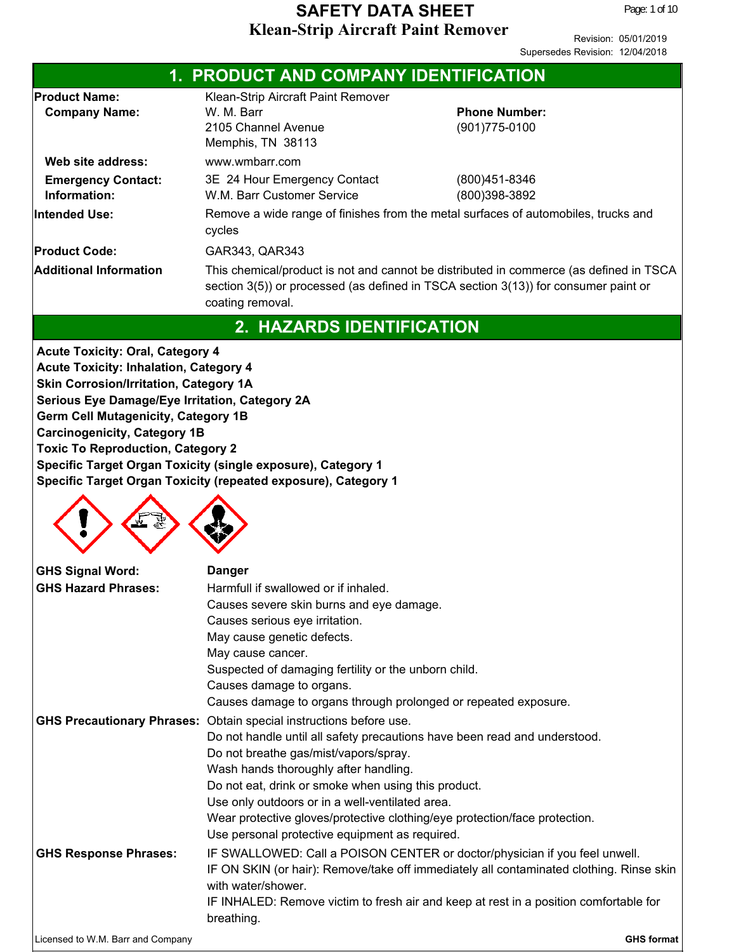| 1. PRODUCT AND COMPANY IDENTIFICATION                                                                                                                                                                                                                                                                                 |                                                                                                                                                                                                                                                                                                                                                                                                                                                  |                                                                                                                                                                                                                                                                |  |  |
|-----------------------------------------------------------------------------------------------------------------------------------------------------------------------------------------------------------------------------------------------------------------------------------------------------------------------|--------------------------------------------------------------------------------------------------------------------------------------------------------------------------------------------------------------------------------------------------------------------------------------------------------------------------------------------------------------------------------------------------------------------------------------------------|----------------------------------------------------------------------------------------------------------------------------------------------------------------------------------------------------------------------------------------------------------------|--|--|
| <b>Product Name:</b><br><b>Company Name:</b>                                                                                                                                                                                                                                                                          | Klean-Strip Aircraft Paint Remover<br>W. M. Barr<br>2105 Channel Avenue<br>Memphis, TN 38113                                                                                                                                                                                                                                                                                                                                                     | <b>Phone Number:</b><br>(901) 775-0100                                                                                                                                                                                                                         |  |  |
| Web site address:<br><b>Emergency Contact:</b><br>Information:                                                                                                                                                                                                                                                        | www.wmbarr.com<br>3E 24 Hour Emergency Contact<br>W.M. Barr Customer Service                                                                                                                                                                                                                                                                                                                                                                     | (800)451-8346<br>(800)398-3892                                                                                                                                                                                                                                 |  |  |
| Intended Use:                                                                                                                                                                                                                                                                                                         | Remove a wide range of finishes from the metal surfaces of automobiles, trucks and<br>cycles                                                                                                                                                                                                                                                                                                                                                     |                                                                                                                                                                                                                                                                |  |  |
| <b>Product Code:</b><br><b>Additional Information</b>                                                                                                                                                                                                                                                                 | GAR343, QAR343<br>This chemical/product is not and cannot be distributed in commerce (as defined in TSCA<br>section 3(5)) or processed (as defined in TSCA section 3(13)) for consumer paint or<br>coating removal.                                                                                                                                                                                                                              |                                                                                                                                                                                                                                                                |  |  |
|                                                                                                                                                                                                                                                                                                                       | 2. HAZARDS IDENTIFICATION                                                                                                                                                                                                                                                                                                                                                                                                                        |                                                                                                                                                                                                                                                                |  |  |
| <b>Acute Toxicity: Oral, Category 4</b><br><b>Acute Toxicity: Inhalation, Category 4</b><br>Skin Corrosion/Irritation, Category 1A<br>Serious Eye Damage/Eye Irritation, Category 2A<br><b>Germ Cell Mutagenicity, Category 1B</b><br><b>Carcinogenicity, Category 1B</b><br><b>Toxic To Reproduction, Category 2</b> | Specific Target Organ Toxicity (single exposure), Category 1<br>Specific Target Organ Toxicity (repeated exposure), Category 1                                                                                                                                                                                                                                                                                                                   |                                                                                                                                                                                                                                                                |  |  |
| <b>GHS Signal Word:</b><br><b>GHS Hazard Phrases:</b>                                                                                                                                                                                                                                                                 | <b>Danger</b><br>Harmfull if swallowed or if inhaled.<br>Causes severe skin burns and eye damage.<br>Causes serious eye irritation.<br>May cause genetic defects.<br>May cause cancer.<br>Suspected of damaging fertility or the unborn child.<br>Causes damage to organs.<br>Causes damage to organs through prolonged or repeated exposure.                                                                                                    |                                                                                                                                                                                                                                                                |  |  |
| <b>GHS Precautionary Phrases:</b>                                                                                                                                                                                                                                                                                     | Obtain special instructions before use.<br>Do not handle until all safety precautions have been read and understood.<br>Do not breathe gas/mist/vapors/spray.<br>Wash hands thoroughly after handling.<br>Do not eat, drink or smoke when using this product.<br>Use only outdoors or in a well-ventilated area.<br>Wear protective gloves/protective clothing/eye protection/face protection.<br>Use personal protective equipment as required. |                                                                                                                                                                                                                                                                |  |  |
| <b>GHS Response Phrases:</b>                                                                                                                                                                                                                                                                                          | with water/shower.<br>breathing.                                                                                                                                                                                                                                                                                                                                                                                                                 | IF SWALLOWED: Call a POISON CENTER or doctor/physician if you feel unwell.<br>IF ON SKIN (or hair): Remove/take off immediately all contaminated clothing. Rinse skin<br>IF INHALED: Remove victim to fresh air and keep at rest in a position comfortable for |  |  |
| Licensed to W.M. Barr and Company                                                                                                                                                                                                                                                                                     |                                                                                                                                                                                                                                                                                                                                                                                                                                                  | <b>GHS format</b>                                                                                                                                                                                                                                              |  |  |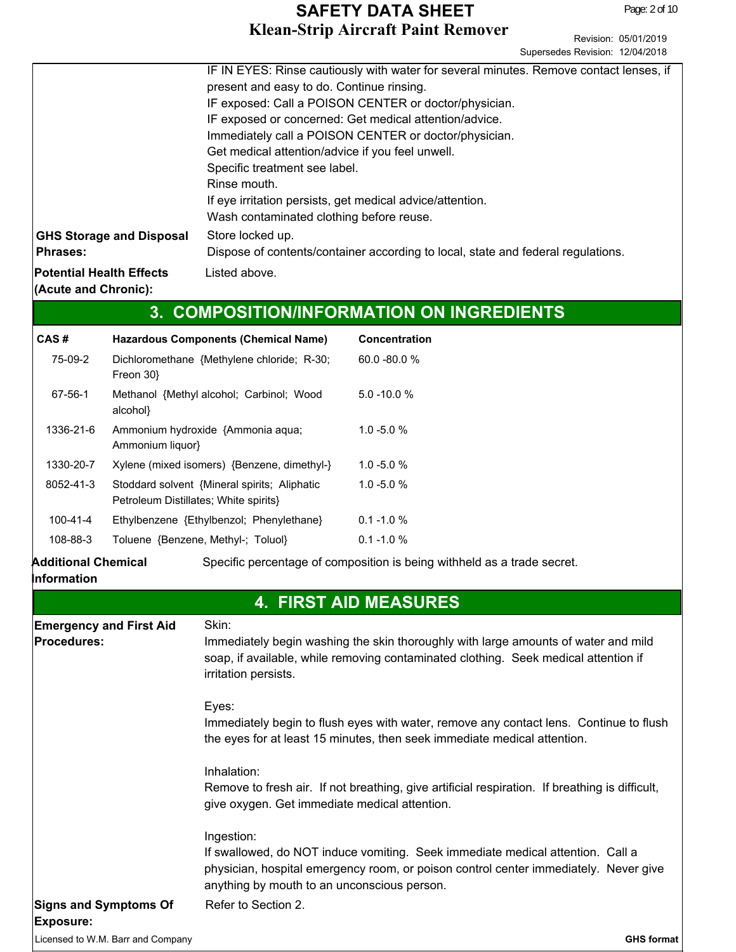Revision: 05/01/2019 Supersedes Revision: 12/04/2018

|                                                         | IF IN EYES: Rinse cautiously with water for several minutes. Remove contact lenses, if |
|---------------------------------------------------------|----------------------------------------------------------------------------------------|
|                                                         | present and easy to do. Continue rinsing.                                              |
|                                                         | IF exposed: Call a POISON CENTER or doctor/physician.                                  |
|                                                         | IF exposed or concerned: Get medical attention/advice.                                 |
|                                                         | Immediately call a POISON CENTER or doctor/physician.                                  |
|                                                         | Get medical attention/advice if you feel unwell.                                       |
|                                                         | Specific treatment see label.                                                          |
|                                                         | Rinse mouth.                                                                           |
|                                                         | If eye irritation persists, get medical advice/attention.                              |
|                                                         | Wash contaminated clothing before reuse.                                               |
| <b>GHS Storage and Disposal</b>                         | Store locked up.                                                                       |
| Phrases:                                                | Dispose of contents/container according to local, state and federal regulations.       |
| <b>Potential Health Effects</b><br>(Acute and Chronic): | Listed above.                                                                          |

# **3. COMPOSITION/INFORMATION ON INGREDIENTS**

| CAS#      | <b>Hazardous Components (Chemical Name)</b>                                           | Concentration   |
|-----------|---------------------------------------------------------------------------------------|-----------------|
| 75-09-2   | Dichloromethane {Methylene chloride; R-30;<br>Freon 30}                               | $60.0 - 80.0 %$ |
| 67-56-1   | Methanol {Methyl alcohol; Carbinol; Wood<br>alcohol}                                  | $5.0 - 10.0 %$  |
| 1336-21-6 | Ammonium hydroxide {Ammonia aqua;<br>Ammonium liquor}                                 | $1.0 - 5.0 %$   |
| 1330-20-7 | Xylene (mixed isomers) {Benzene, dimethyl-}                                           | $1.0 - 5.0 %$   |
| 8052-41-3 | Stoddard solvent {Mineral spirits; Aliphatic<br>Petroleum Distillates; White spirits} | $1.0 - 5.0 %$   |
| 100-41-4  | Ethylbenzene {Ethylbenzol; Phenylethane}                                              | $0.1 - 1.0 %$   |
| 108-88-3  | Toluene {Benzene, Methyl-; Toluol}                                                    | $0.1 - 1.0 %$   |
|           |                                                                                       |                 |

**Additional Chemical** Specific percentage of composition is being withheld as a trade secret.

#### **Information**

## **4. FIRST AID MEASURES**

| <b>Emergency and First Aid</b>                   | Skin:                                                                                                                                                                                                                               |
|--------------------------------------------------|-------------------------------------------------------------------------------------------------------------------------------------------------------------------------------------------------------------------------------------|
| <b>Procedures:</b>                               | Immediately begin washing the skin thoroughly with large amounts of water and mild<br>soap, if available, while removing contaminated clothing. Seek medical attention if<br>irritation persists.                                   |
|                                                  | Eyes:<br>Immediately begin to flush eyes with water, remove any contact lens. Continue to flush<br>the eyes for at least 15 minutes, then seek immediate medical attention.                                                         |
|                                                  | Inhalation:<br>Remove to fresh air. If not breathing, give artificial respiration. If breathing is difficult,<br>give oxygen. Get immediate medical attention.                                                                      |
|                                                  | Ingestion:<br>If swallowed, do NOT induce vomiting. Seek immediate medical attention. Call a<br>physician, hospital emergency room, or poison control center immediately. Never give<br>anything by mouth to an unconscious person. |
| <b>Signs and Symptoms Of</b><br><b>Exposure:</b> | Refer to Section 2.                                                                                                                                                                                                                 |
| Licensed to W.M. Barr and Company                | <b>GHS format</b>                                                                                                                                                                                                                   |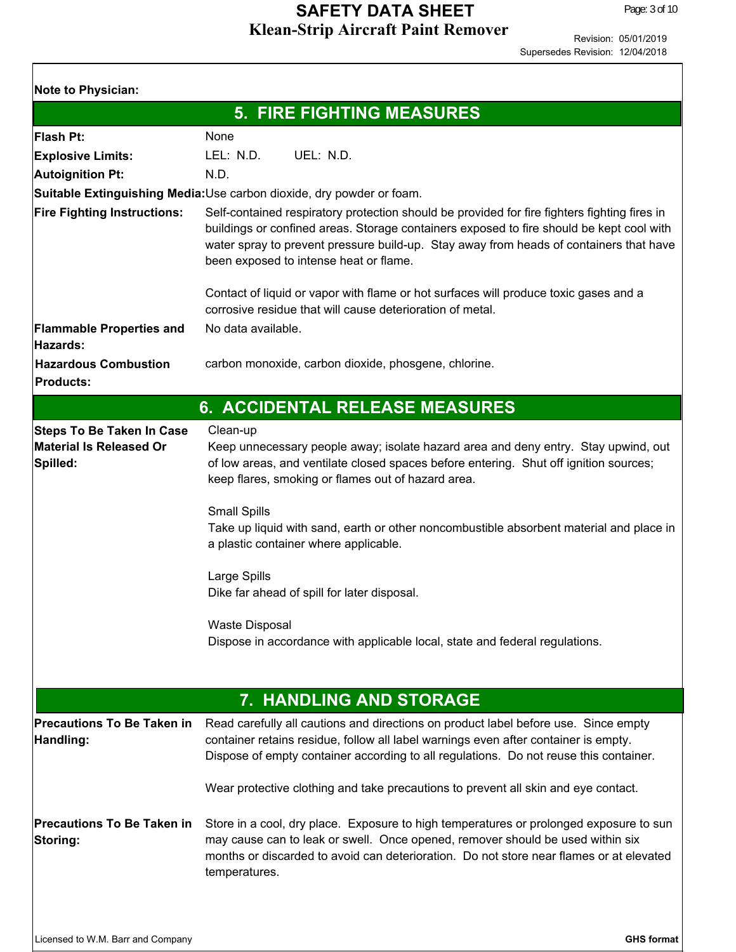| <b>Note to Physician:</b>                                                      |                                                                                                                                                                                                                                                                                                                              |  |  |  |
|--------------------------------------------------------------------------------|------------------------------------------------------------------------------------------------------------------------------------------------------------------------------------------------------------------------------------------------------------------------------------------------------------------------------|--|--|--|
|                                                                                | <b>5. FIRE FIGHTING MEASURES</b>                                                                                                                                                                                                                                                                                             |  |  |  |
| <b>Flash Pt:</b>                                                               | None                                                                                                                                                                                                                                                                                                                         |  |  |  |
| <b>Explosive Limits:</b>                                                       | LEL: N.D.<br>UEL: N.D.                                                                                                                                                                                                                                                                                                       |  |  |  |
| <b>Autoignition Pt:</b>                                                        | N.D.                                                                                                                                                                                                                                                                                                                         |  |  |  |
|                                                                                | Suitable Extinguishing Media: Use carbon dioxide, dry powder or foam.                                                                                                                                                                                                                                                        |  |  |  |
| <b>Fire Fighting Instructions:</b>                                             | Self-contained respiratory protection should be provided for fire fighters fighting fires in<br>buildings or confined areas. Storage containers exposed to fire should be kept cool with<br>water spray to prevent pressure build-up. Stay away from heads of containers that have<br>been exposed to intense heat or flame. |  |  |  |
| <b>Flammable Properties and</b>                                                | Contact of liquid or vapor with flame or hot surfaces will produce toxic gases and a<br>corrosive residue that will cause deterioration of metal.<br>No data available.                                                                                                                                                      |  |  |  |
| Hazards:                                                                       |                                                                                                                                                                                                                                                                                                                              |  |  |  |
| <b>Hazardous Combustion</b><br><b>Products:</b>                                | carbon monoxide, carbon dioxide, phosgene, chlorine.                                                                                                                                                                                                                                                                         |  |  |  |
|                                                                                | <b>6. ACCIDENTAL RELEASE MEASURES</b>                                                                                                                                                                                                                                                                                        |  |  |  |
| <b>Steps To Be Taken In Case</b><br><b>Material Is Released Or</b><br>Spilled: | Clean-up<br>Keep unnecessary people away; isolate hazard area and deny entry. Stay upwind, out<br>of low areas, and ventilate closed spaces before entering. Shut off ignition sources;<br>keep flares, smoking or flames out of hazard area.<br><b>Small Spills</b>                                                         |  |  |  |
|                                                                                | Take up liquid with sand, earth or other noncombustible absorbent material and place in<br>a plastic container where applicable.                                                                                                                                                                                             |  |  |  |
|                                                                                | Large Spills<br>Dike far ahead of spill for later disposal.                                                                                                                                                                                                                                                                  |  |  |  |
|                                                                                | <b>Waste Disposal</b><br>Dispose in accordance with applicable local, state and federal regulations.                                                                                                                                                                                                                         |  |  |  |
|                                                                                | 7. HANDLING AND STORAGE                                                                                                                                                                                                                                                                                                      |  |  |  |
| <b>Precautions To Be Taken in</b><br>Handling:                                 | Read carefully all cautions and directions on product label before use. Since empty<br>container retains residue, follow all label warnings even after container is empty.<br>Dispose of empty container according to all regulations. Do not reuse this container.                                                          |  |  |  |
|                                                                                | Wear protective clothing and take precautions to prevent all skin and eye contact.                                                                                                                                                                                                                                           |  |  |  |
| <b>Precautions To Be Taken in</b><br>Storing:                                  | Store in a cool, dry place. Exposure to high temperatures or prolonged exposure to sun<br>may cause can to leak or swell. Once opened, remover should be used within six<br>months or discarded to avoid can deterioration. Do not store near flames or at elevated<br>temperatures.                                         |  |  |  |
|                                                                                |                                                                                                                                                                                                                                                                                                                              |  |  |  |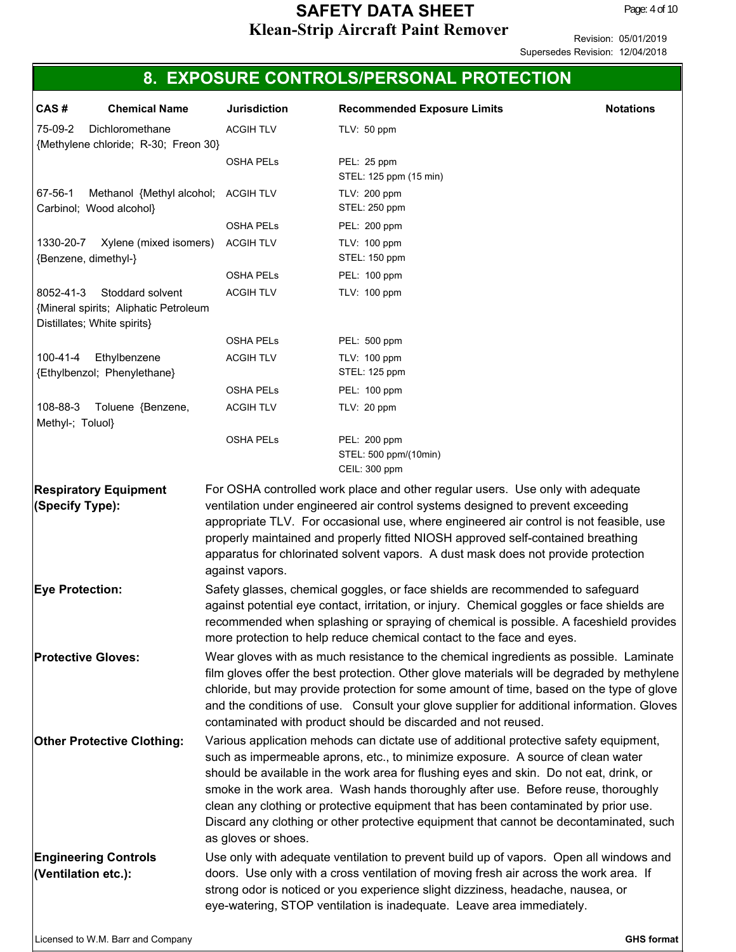|                              |                                                                                          |                     | 8. EXPOSURE CONTROLS/PERSONAL PROTECTION                                                                                                                                                                                                                                                                                                                                                                                                                                                                                                 |                   |
|------------------------------|------------------------------------------------------------------------------------------|---------------------|------------------------------------------------------------------------------------------------------------------------------------------------------------------------------------------------------------------------------------------------------------------------------------------------------------------------------------------------------------------------------------------------------------------------------------------------------------------------------------------------------------------------------------------|-------------------|
| CAS#                         | <b>Chemical Name</b>                                                                     | <b>Jurisdiction</b> | <b>Recommended Exposure Limits</b>                                                                                                                                                                                                                                                                                                                                                                                                                                                                                                       | <b>Notations</b>  |
| 75-09-2                      | Dichloromethane<br>{Methylene chloride; R-30; Freon 30}                                  | <b>ACGIH TLV</b>    | TLV: $50$ ppm                                                                                                                                                                                                                                                                                                                                                                                                                                                                                                                            |                   |
|                              |                                                                                          | <b>OSHA PELS</b>    | PEL: 25 ppm<br>STEL: 125 ppm (15 min)                                                                                                                                                                                                                                                                                                                                                                                                                                                                                                    |                   |
| 67-56-1                      | Methanol {Methyl alcohol; ACGIH TLV<br>Carbinol; Wood alcohol}                           |                     | TLV: 200 ppm<br>STEL: 250 ppm                                                                                                                                                                                                                                                                                                                                                                                                                                                                                                            |                   |
|                              |                                                                                          | OSHA PELs           | PEL: 200 ppm                                                                                                                                                                                                                                                                                                                                                                                                                                                                                                                             |                   |
| 1330-20-7                    | Xylene (mixed isomers)<br>{Benzene, dimethyl-}                                           | <b>ACGIH TLV</b>    | TLV: 100 ppm<br>STEL: 150 ppm                                                                                                                                                                                                                                                                                                                                                                                                                                                                                                            |                   |
|                              |                                                                                          | <b>OSHA PELS</b>    | PEL: 100 ppm                                                                                                                                                                                                                                                                                                                                                                                                                                                                                                                             |                   |
| 8052-41-3                    | Stoddard solvent<br>{Mineral spirits; Aliphatic Petroleum<br>Distillates; White spirits} | <b>ACGIH TLV</b>    | TLV: 100 ppm                                                                                                                                                                                                                                                                                                                                                                                                                                                                                                                             |                   |
|                              |                                                                                          | <b>OSHA PELS</b>    | PEL: 500 ppm                                                                                                                                                                                                                                                                                                                                                                                                                                                                                                                             |                   |
| 100-41-4                     | Ethylbenzene<br>{Ethylbenzol; Phenylethane}                                              | <b>ACGIH TLV</b>    | TLV: 100 ppm<br>STEL: 125 ppm                                                                                                                                                                                                                                                                                                                                                                                                                                                                                                            |                   |
|                              |                                                                                          | <b>OSHA PELS</b>    | PEL: 100 ppm                                                                                                                                                                                                                                                                                                                                                                                                                                                                                                                             |                   |
| 108-88-3<br>Methyl-; Toluol} | Toluene {Benzene,                                                                        | <b>ACGIH TLV</b>    | TLV: 20 ppm                                                                                                                                                                                                                                                                                                                                                                                                                                                                                                                              |                   |
|                              |                                                                                          | <b>OSHA PELS</b>    | PEL: 200 ppm<br>STEL: 500 ppm/(10min)<br>CEIL: 300 ppm                                                                                                                                                                                                                                                                                                                                                                                                                                                                                   |                   |
|                              |                                                                                          | against vapors.     | appropriate TLV. For occasional use, where engineered air control is not feasible, use<br>properly maintained and properly fitted NIOSH approved self-contained breathing<br>apparatus for chlorinated solvent vapors. A dust mask does not provide protection                                                                                                                                                                                                                                                                           |                   |
| <b>Eye Protection:</b>       |                                                                                          |                     | Safety glasses, chemical goggles, or face shields are recommended to safeguard<br>against potential eye contact, irritation, or injury. Chemical goggles or face shields are<br>recommended when splashing or spraying of chemical is possible. A faceshield provides<br>more protection to help reduce chemical contact to the face and eyes.                                                                                                                                                                                           |                   |
|                              | <b>Protective Gloves:</b>                                                                |                     | Wear gloves with as much resistance to the chemical ingredients as possible. Laminate<br>film gloves offer the best protection. Other glove materials will be degraded by methylene<br>chloride, but may provide protection for some amount of time, based on the type of glove<br>and the conditions of use. Consult your glove supplier for additional information. Gloves<br>contaminated with product should be discarded and not reused.                                                                                            |                   |
|                              | <b>Other Protective Clothing:</b>                                                        | as gloves or shoes. | Various application mehods can dictate use of additional protective safety equipment,<br>such as impermeable aprons, etc., to minimize exposure. A source of clean water<br>should be available in the work area for flushing eyes and skin. Do not eat, drink, or<br>smoke in the work area. Wash hands thoroughly after use. Before reuse, thoroughly<br>clean any clothing or protective equipment that has been contaminated by prior use.<br>Discard any clothing or other protective equipment that cannot be decontaminated, such |                   |
|                              | <b>Engineering Controls</b><br>(Ventilation etc.):                                       |                     | Use only with adequate ventilation to prevent build up of vapors. Open all windows and<br>doors. Use only with a cross ventilation of moving fresh air across the work area. If<br>strong odor is noticed or you experience slight dizziness, headache, nausea, or<br>eye-watering, STOP ventilation is inadequate. Leave area immediately.                                                                                                                                                                                              |                   |
|                              | Licensed to W.M. Barr and Company                                                        |                     |                                                                                                                                                                                                                                                                                                                                                                                                                                                                                                                                          | <b>GHS format</b> |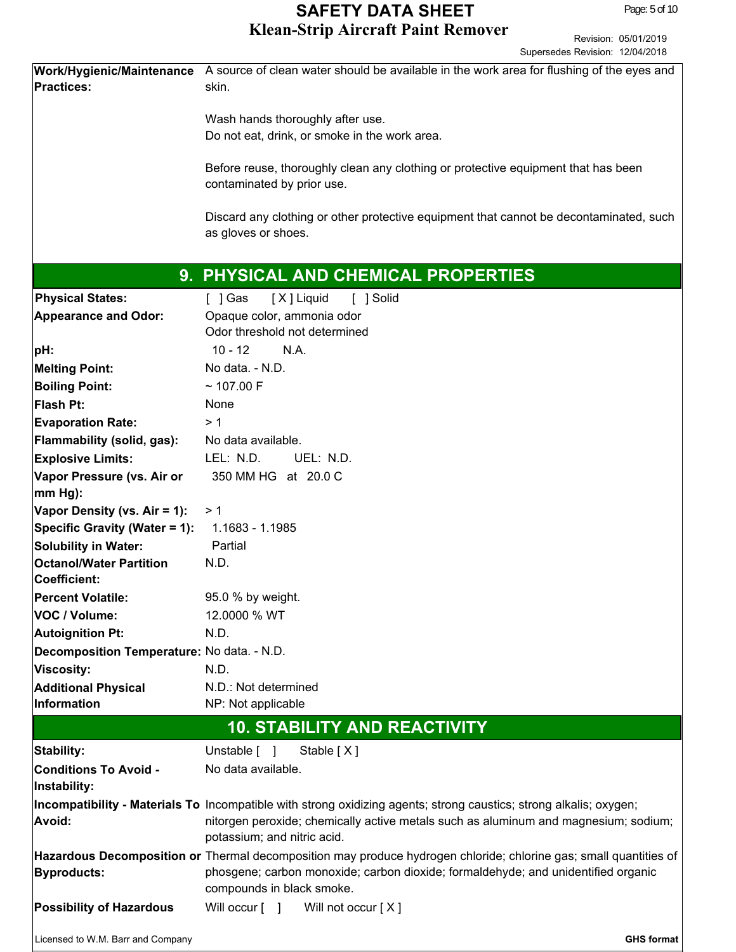|                                                | Work/Hygienic/Maintenance A source of clean water should be available in the work area for flushing of the eyes and |  |  |
|------------------------------------------------|---------------------------------------------------------------------------------------------------------------------|--|--|
| <b>Practices:</b>                              | skin.                                                                                                               |  |  |
|                                                |                                                                                                                     |  |  |
|                                                | Wash hands thoroughly after use.                                                                                    |  |  |
|                                                | Do not eat, drink, or smoke in the work area.                                                                       |  |  |
|                                                |                                                                                                                     |  |  |
|                                                | Before reuse, thoroughly clean any clothing or protective equipment that has been                                   |  |  |
|                                                | contaminated by prior use.                                                                                          |  |  |
|                                                | Discard any clothing or other protective equipment that cannot be decontaminated, such                              |  |  |
|                                                | as gloves or shoes.                                                                                                 |  |  |
|                                                |                                                                                                                     |  |  |
|                                                | 9. PHYSICAL AND CHEMICAL PROPERTIES                                                                                 |  |  |
|                                                |                                                                                                                     |  |  |
| <b>Physical States:</b>                        | [X] Liquid<br>[ ] Solid<br>[ ] Gas                                                                                  |  |  |
| <b>Appearance and Odor:</b>                    | Opaque color, ammonia odor<br>Odor threshold not determined                                                         |  |  |
|                                                | $10 - 12$<br>N.A.                                                                                                   |  |  |
| pH:                                            |                                                                                                                     |  |  |
| <b>Melting Point:</b>                          | No data. - N.D.                                                                                                     |  |  |
| <b>Boiling Point:</b>                          | ~107.00 F                                                                                                           |  |  |
| Flash Pt:                                      | None                                                                                                                |  |  |
| <b>Evaporation Rate:</b>                       | >1                                                                                                                  |  |  |
| Flammability (solid, gas):                     | No data available.                                                                                                  |  |  |
| <b>Explosive Limits:</b>                       | LEL: N.D.<br>UEL: N.D.                                                                                              |  |  |
| Vapor Pressure (vs. Air or                     | 350 MM HG at 20.0 C                                                                                                 |  |  |
| $ mm Hg$ :                                     |                                                                                                                     |  |  |
| Vapor Density (vs. Air = 1):                   | >1                                                                                                                  |  |  |
| Specific Gravity (Water = 1):                  | 1.1683 - 1.1985                                                                                                     |  |  |
| Solubility in Water:                           | Partial                                                                                                             |  |  |
| <b>Octanol/Water Partition</b><br>Coefficient: | N.D.                                                                                                                |  |  |
|                                                |                                                                                                                     |  |  |
| <b>Percent Volatile:</b>                       | 95.0 % by weight.                                                                                                   |  |  |
| VOC / Volume:                                  | 12.0000 % WT                                                                                                        |  |  |
| Autoignition Pt:                               | N.D.                                                                                                                |  |  |
| Decomposition Temperature: No data. - N.D.     |                                                                                                                     |  |  |
| Viscosity:                                     | N.D.                                                                                                                |  |  |
| <b>Additional Physical</b><br>Information      | N.D.: Not determined<br>NP: Not applicable                                                                          |  |  |
|                                                |                                                                                                                     |  |  |
|                                                | <b>10. STABILITY AND REACTIVITY</b>                                                                                 |  |  |
| Stability:                                     | Unstable [ ]<br>Stable [X]                                                                                          |  |  |
| <b>Conditions To Avoid -</b>                   | No data available.                                                                                                  |  |  |
| Instability:                                   |                                                                                                                     |  |  |
|                                                | Incompatibility - Materials To Incompatible with strong oxidizing agents; strong caustics; strong alkalis; oxygen;  |  |  |
| Avoid:                                         | nitorgen peroxide; chemically active metals such as aluminum and magnesium; sodium;                                 |  |  |
|                                                | potassium; and nitric acid.                                                                                         |  |  |
|                                                | Hazardous Decomposition or Thermal decomposition may produce hydrogen chloride; chlorine gas; small quantities of   |  |  |
| <b>Byproducts:</b>                             | phosgene; carbon monoxide; carbon dioxide; formaldehyde; and unidentified organic                                   |  |  |
|                                                | compounds in black smoke.                                                                                           |  |  |
| <b>Possibility of Hazardous</b>                | Will occur [ ]<br>Will not occur [X]                                                                                |  |  |
| Licensed to W.M. Barr and Company              | <b>GHS format</b>                                                                                                   |  |  |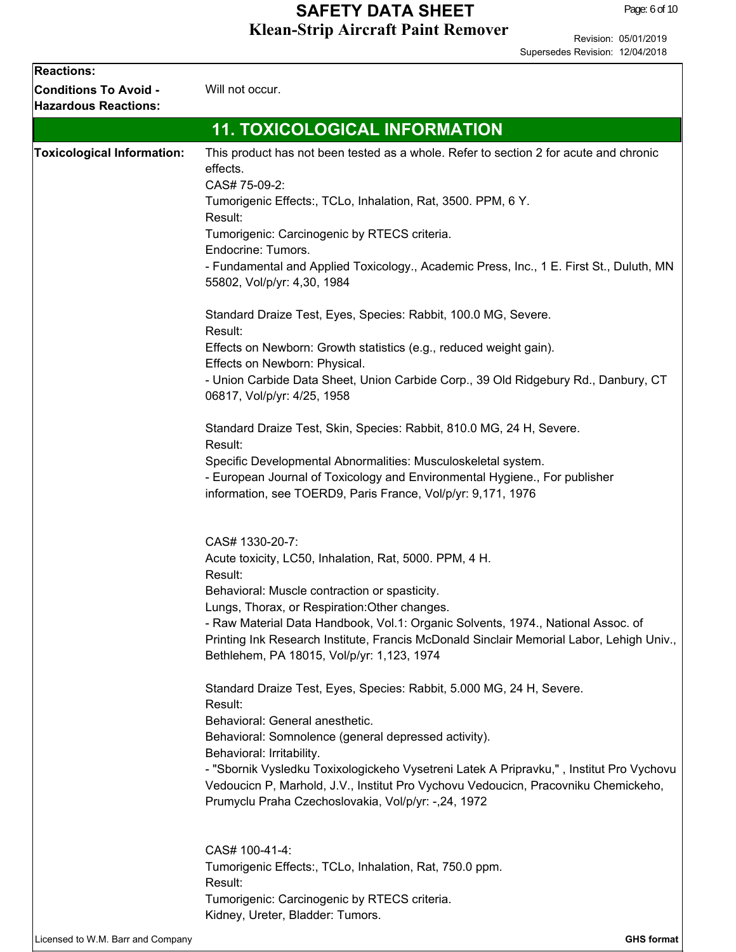| <b>Reactions:</b>                 |                                                                                                                                                                              |  |  |
|-----------------------------------|------------------------------------------------------------------------------------------------------------------------------------------------------------------------------|--|--|
| <b>Conditions To Avoid -</b>      | Will not occur.                                                                                                                                                              |  |  |
| <b>Hazardous Reactions:</b>       |                                                                                                                                                                              |  |  |
|                                   | <b>11. TOXICOLOGICAL INFORMATION</b>                                                                                                                                         |  |  |
| <b>Toxicological Information:</b> | This product has not been tested as a whole. Refer to section 2 for acute and chronic                                                                                        |  |  |
|                                   | effects.                                                                                                                                                                     |  |  |
|                                   | CAS# 75-09-2:                                                                                                                                                                |  |  |
|                                   | Tumorigenic Effects:, TCLo, Inhalation, Rat, 3500. PPM, 6 Y.<br>Result:                                                                                                      |  |  |
|                                   | Tumorigenic: Carcinogenic by RTECS criteria.                                                                                                                                 |  |  |
|                                   | Endocrine: Tumors.                                                                                                                                                           |  |  |
|                                   | - Fundamental and Applied Toxicology., Academic Press, Inc., 1 E. First St., Duluth, MN                                                                                      |  |  |
|                                   | 55802, Vol/p/yr: 4,30, 1984                                                                                                                                                  |  |  |
|                                   | Standard Draize Test, Eyes, Species: Rabbit, 100.0 MG, Severe.                                                                                                               |  |  |
|                                   | Result:                                                                                                                                                                      |  |  |
|                                   | Effects on Newborn: Growth statistics (e.g., reduced weight gain).                                                                                                           |  |  |
|                                   | Effects on Newborn: Physical.<br>- Union Carbide Data Sheet, Union Carbide Corp., 39 Old Ridgebury Rd., Danbury, CT                                                          |  |  |
|                                   | 06817, Vol/p/yr: 4/25, 1958                                                                                                                                                  |  |  |
|                                   | Standard Draize Test, Skin, Species: Rabbit, 810.0 MG, 24 H, Severe.                                                                                                         |  |  |
|                                   | Result:                                                                                                                                                                      |  |  |
|                                   | Specific Developmental Abnormalities: Musculoskeletal system.                                                                                                                |  |  |
|                                   | - European Journal of Toxicology and Environmental Hygiene., For publisher<br>information, see TOERD9, Paris France, Vol/p/yr: 9,171, 1976                                   |  |  |
|                                   |                                                                                                                                                                              |  |  |
|                                   | CAS# 1330-20-7:                                                                                                                                                              |  |  |
|                                   | Acute toxicity, LC50, Inhalation, Rat, 5000. PPM, 4 H.                                                                                                                       |  |  |
|                                   | Result:                                                                                                                                                                      |  |  |
|                                   | Behavioral: Muscle contraction or spasticity.                                                                                                                                |  |  |
|                                   | Lungs, Thorax, or Respiration: Other changes.                                                                                                                                |  |  |
|                                   | - Raw Material Data Handbook, Vol.1: Organic Solvents, 1974., National Assoc. of<br>Printing Ink Research Institute, Francis McDonald Sinclair Memorial Labor, Lehigh Univ., |  |  |
|                                   | Bethlehem, PA 18015, Vol/p/yr: 1,123, 1974                                                                                                                                   |  |  |
|                                   | Standard Draize Test, Eyes, Species: Rabbit, 5.000 MG, 24 H, Severe.                                                                                                         |  |  |
|                                   | Result:                                                                                                                                                                      |  |  |
|                                   | Behavioral: General anesthetic.                                                                                                                                              |  |  |
|                                   | Behavioral: Somnolence (general depressed activity).                                                                                                                         |  |  |
|                                   | Behavioral: Irritability.<br>- "Sbornik Vysledku Toxixologickeho Vysetreni Latek A Pripravku,", Institut Pro Vychovu                                                         |  |  |
|                                   | Vedoucicn P, Marhold, J.V., Institut Pro Vychovu Vedoucicn, Pracovniku Chemickeho,                                                                                           |  |  |
|                                   | Prumyclu Praha Czechoslovakia, Vol/p/yr: -,24, 1972                                                                                                                          |  |  |
|                                   | CAS# 100-41-4:                                                                                                                                                               |  |  |
|                                   | Tumorigenic Effects:, TCLo, Inhalation, Rat, 750.0 ppm.                                                                                                                      |  |  |
|                                   | Result:                                                                                                                                                                      |  |  |
|                                   | Tumorigenic: Carcinogenic by RTECS criteria.                                                                                                                                 |  |  |
|                                   | Kidney, Ureter, Bladder: Tumors.                                                                                                                                             |  |  |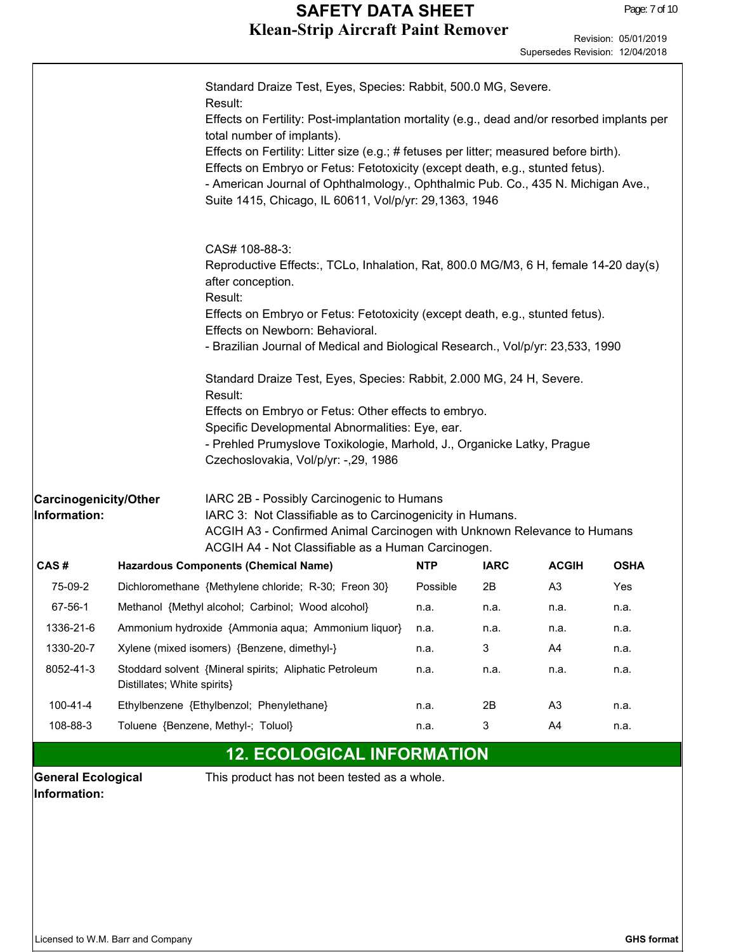|                                                |                                                    | Standard Draize Test, Eyes, Species: Rabbit, 500.0 MG, Severe.<br>Result:<br>Effects on Fertility: Post-implantation mortality (e.g., dead and/or resorbed implants per<br>total number of implants).<br>Effects on Fertility: Litter size (e.g.; # fetuses per litter; measured before birth).<br>Effects on Embryo or Fetus: Fetotoxicity (except death, e.g., stunted fetus).<br>- American Journal of Ophthalmology., Ophthalmic Pub. Co., 435 N. Michigan Ave.,<br>Suite 1415, Chicago, IL 60611, Vol/p/yr: 29,1363, 1946 |            |              |                |             |
|------------------------------------------------|----------------------------------------------------|--------------------------------------------------------------------------------------------------------------------------------------------------------------------------------------------------------------------------------------------------------------------------------------------------------------------------------------------------------------------------------------------------------------------------------------------------------------------------------------------------------------------------------|------------|--------------|----------------|-------------|
|                                                |                                                    | CAS# 108-88-3:<br>Reproductive Effects:, TCLo, Inhalation, Rat, 800.0 MG/M3, 6 H, female 14-20 day(s)<br>after conception.<br>Result:<br>Effects on Embryo or Fetus: Fetotoxicity (except death, e.g., stunted fetus).<br>Effects on Newborn: Behavioral.<br>- Brazilian Journal of Medical and Biological Research., Vol/p/yr: 23,533, 1990                                                                                                                                                                                   |            |              |                |             |
|                                                |                                                    | Standard Draize Test, Eyes, Species: Rabbit, 2.000 MG, 24 H, Severe.<br>Result:<br>Effects on Embryo or Fetus: Other effects to embryo.<br>Specific Developmental Abnormalities: Eye, ear.<br>- Prehled Prumyslove Toxikologie, Marhold, J., Organicke Latky, Prague<br>Czechoslovakia, Vol/p/yr: -,29, 1986                                                                                                                                                                                                                   |            |              |                |             |
| <b>Carcinogenicity/Other</b><br>Information:   |                                                    | IARC 2B - Possibly Carcinogenic to Humans<br>IARC 3: Not Classifiable as to Carcinogenicity in Humans.<br>ACGIH A3 - Confirmed Animal Carcinogen with Unknown Relevance to Humans<br>ACGIH A4 - Not Classifiable as a Human Carcinogen.                                                                                                                                                                                                                                                                                        |            |              |                |             |
| CAS#                                           |                                                    | <b>Hazardous Components (Chemical Name)</b>                                                                                                                                                                                                                                                                                                                                                                                                                                                                                    | <b>NTP</b> | <b>IARC</b>  | <b>ACGIH</b>   | <b>OSHA</b> |
| 75-09-2                                        |                                                    | Dichloromethane {Methylene chloride; R-30; Freon 30}                                                                                                                                                                                                                                                                                                                                                                                                                                                                           | Possible   | 2B           | A <sub>3</sub> | Yes         |
| 67-56-1                                        |                                                    | Methanol {Methyl alcohol; Carbinol; Wood alcohol}                                                                                                                                                                                                                                                                                                                                                                                                                                                                              | n.a.       | n.a.         | n.a.           | n.a.        |
| 1336-21-6                                      | Ammonium hydroxide {Ammonia aqua; Ammonium liquor} |                                                                                                                                                                                                                                                                                                                                                                                                                                                                                                                                | n.a.       | n.a.         | n.a.           | n.a.        |
| 1330-20-7                                      | Xylene (mixed isomers) {Benzene, dimethyl-}        |                                                                                                                                                                                                                                                                                                                                                                                                                                                                                                                                | n.a.       | $\mathbf{3}$ | A4             | n.a.        |
| 8052-41-3                                      | Distillates; White spirits}                        | Stoddard solvent {Mineral spirits; Aliphatic Petroleum                                                                                                                                                                                                                                                                                                                                                                                                                                                                         | n.a.       | n.a.         | n.a.           | n.a.        |
| 100-41-4                                       |                                                    | Ethylbenzene {Ethylbenzol; Phenylethane}                                                                                                                                                                                                                                                                                                                                                                                                                                                                                       | n.a.       | 2B           | A <sub>3</sub> | n.a.        |
| 108-88-3<br>Toluene {Benzene, Methyl-; Toluol} |                                                    |                                                                                                                                                                                                                                                                                                                                                                                                                                                                                                                                | n.a.       | 3            | A4             | n.a.        |

#### **12. ECOLOGICAL INFORMATION**

**Information:**

**General Ecological** This product has not been tested as a whole.

Г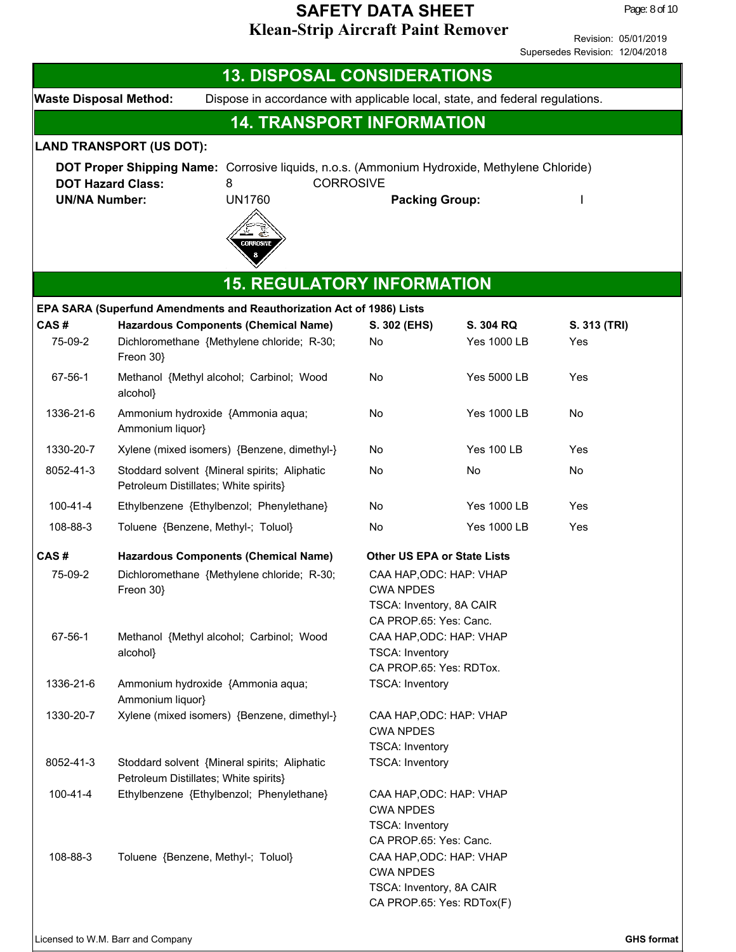Revision: 05/01/2019 Supersedes Revision: 12/04/2018

**Waste Disposal Method:** Dispose in accordance with applicable local, state, and federal regulations. **13. DISPOSAL CONSIDERATIONS 14. TRANSPORT INFORMATION DOT Proper Shipping Name:** Corrosive liquids, n.o.s. (Ammonium Hydroxide, Methylene Chloride) **DOT Hazard Class:** 8 **CORROSIVE UN/NA Number:** UN1760 **Packing Group:** I **LAND TRANSPORT (US DOT): CAS # Hazardous Components (Chemical Name) 15. REGULATORY INFORMATION S. 302 (EHS) S. 304 RQ S. 313 (TRI) EPA SARA (Superfund Amendments and Reauthorization Act of 1986) Lists** 75-09-2 Dichloromethane {Methylene chloride; R-30; Freon 30} No Yes 1000 LB Yes 67-56-1 Methanol {Methyl alcohol; Carbinol; Wood alcohol} No Yes 5000 LB Yes 1336-21-6 Ammonium hydroxide {Ammonia aqua; Ammonium liquor} No Yes 1000 LB No 1330-20-7 Xylene (mixed isomers) {Benzene, dimethyl-} No Yes 100 LB Yes 8052-41-3 Stoddard solvent {Mineral spirits; Aliphatic Petroleum Distillates; White spirits} No No No 100-41-4 Ethylbenzene {Ethylbenzol; Phenylethane} No Yes 1000 LB Yes 108-88-3 Toluene {Benzene, Methyl-; Toluol} No No Yes 1000 LB Yes **CAS # Hazardous Components (Chemical Name) Other US EPA or State Lists** 75-09-2 Dichloromethane {Methylene chloride; R-30; Freon 30} CAA HAP,ODC: HAP: VHAP CWA NPDES TSCA: Inventory, 8A CAIR CA PROP.65: Yes: Canc. 67-56-1 Methanol {Methyl alcohol; Carbinol; Wood alcohol} CAA HAP,ODC: HAP: VHAP TSCA: Inventory CA PROP.65: Yes: RDTox. 1336-21-6 Ammonium hydroxide {Ammonia aqua; Ammonium liquor} TSCA: Inventory 1330-20-7 Xylene (mixed isomers) {Benzene, dimethyl-} CAA HAP,ODC: HAP: VHAP CWA NPDES TSCA: Inventory 8052-41-3 Stoddard solvent {Mineral spirits; Aliphatic Petroleum Distillates; White spirits} TSCA: Inventory 100-41-4 Ethylbenzene {Ethylbenzol; Phenylethane} CAA HAP,ODC: HAP: VHAP CWA NPDES TSCA: Inventory CA PROP.65: Yes: Canc. 108-88-3 Toluene {Benzene, Methyl-; Toluol} CAA HAP,ODC: HAP: VHAP CWA NPDES TSCA: Inventory, 8A CAIR CA PROP.65: Yes: RDTox(F)